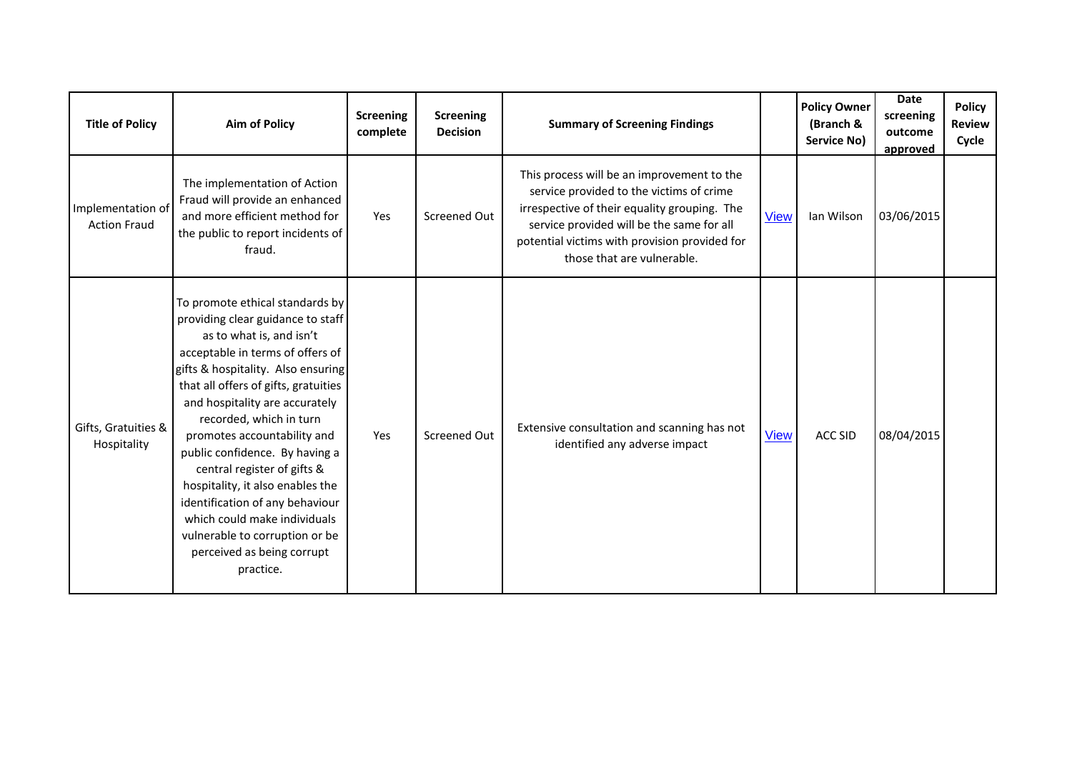| <b>Title of Policy</b>                   | <b>Aim of Policy</b>                                                                                                                                                                                                                                                                                                                                                                                                                                                                                                                                                | <b>Screening</b><br>complete | <b>Screening</b><br><b>Decision</b> | <b>Summary of Screening Findings</b>                                                                                                                                                                                                                               |             | <b>Policy Owner</b><br>(Branch &<br>Service No) | <b>Date</b><br>screening<br>outcome<br>approved | <b>Policy</b><br><b>Review</b><br>Cycle |
|------------------------------------------|---------------------------------------------------------------------------------------------------------------------------------------------------------------------------------------------------------------------------------------------------------------------------------------------------------------------------------------------------------------------------------------------------------------------------------------------------------------------------------------------------------------------------------------------------------------------|------------------------------|-------------------------------------|--------------------------------------------------------------------------------------------------------------------------------------------------------------------------------------------------------------------------------------------------------------------|-------------|-------------------------------------------------|-------------------------------------------------|-----------------------------------------|
| Implementation of<br><b>Action Fraud</b> | The implementation of Action<br>Fraud will provide an enhanced<br>and more efficient method for<br>the public to report incidents of<br>fraud.                                                                                                                                                                                                                                                                                                                                                                                                                      | Yes                          | Screened Out                        | This process will be an improvement to the<br>service provided to the victims of crime<br>irrespective of their equality grouping. The<br>service provided will be the same for all<br>potential victims with provision provided for<br>those that are vulnerable. | <b>View</b> | Ian Wilson                                      | 03/06/2015                                      |                                         |
| Gifts, Gratuities &<br>Hospitality       | To promote ethical standards by<br>providing clear guidance to staff<br>as to what is, and isn't<br>acceptable in terms of offers of<br>gifts & hospitality. Also ensuring<br>that all offers of gifts, gratuities<br>and hospitality are accurately<br>recorded, which in turn<br>promotes accountability and<br>public confidence. By having a<br>central register of gifts &<br>hospitality, it also enables the<br>identification of any behaviour<br>which could make individuals<br>vulnerable to corruption or be<br>perceived as being corrupt<br>practice. | Yes                          | <b>Screened Out</b>                 | Extensive consultation and scanning has not<br>identified any adverse impact                                                                                                                                                                                       | <b>View</b> | <b>ACC SID</b>                                  | 08/04/2015                                      |                                         |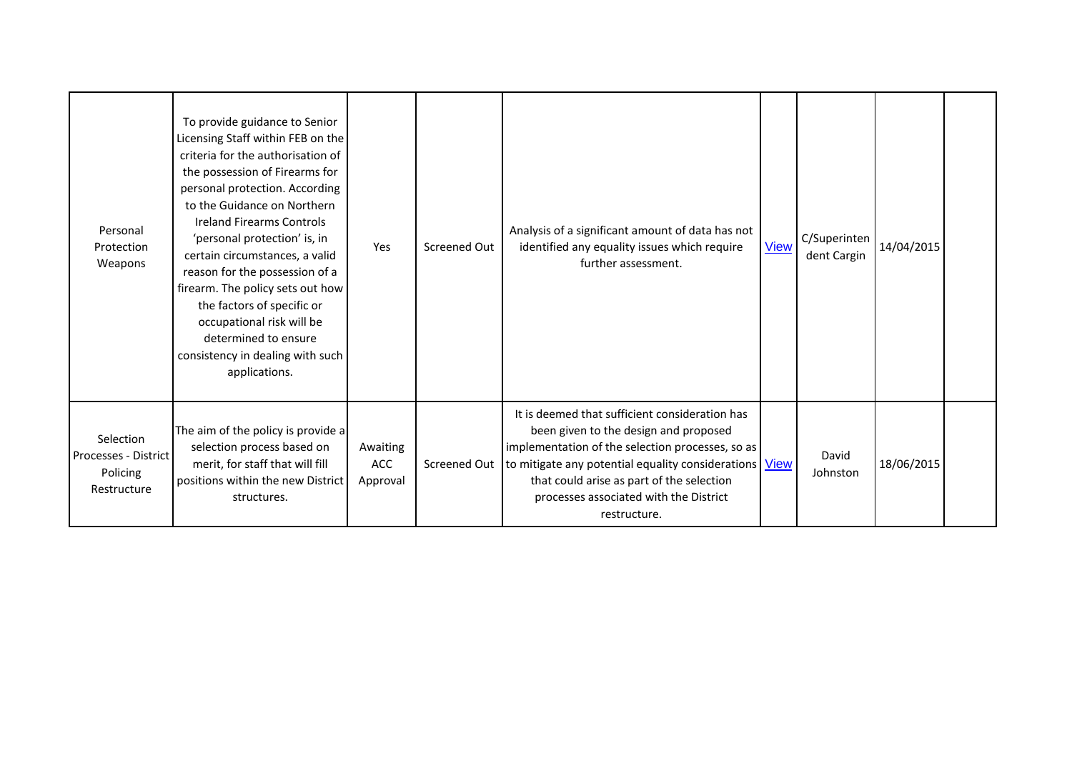| Personal<br>Protection<br>Weapons                            | To provide guidance to Senior<br>Licensing Staff within FEB on the<br>criteria for the authorisation of<br>the possession of Firearms for<br>personal protection. According<br>to the Guidance on Northern<br><b>Ireland Firearms Controls</b><br>'personal protection' is, in<br>certain circumstances, a valid<br>reason for the possession of a<br>firearm. The policy sets out how<br>the factors of specific or<br>occupational risk will be<br>determined to ensure<br>consistency in dealing with such<br>applications. | Yes                                | Screened Out | Analysis of a significant amount of data has not<br>identified any equality issues which require<br>further assessment.                                                                                                                                                                                        | <b>View</b> | C/Superinten<br>dent Cargin | 14/04/2015 |  |
|--------------------------------------------------------------|--------------------------------------------------------------------------------------------------------------------------------------------------------------------------------------------------------------------------------------------------------------------------------------------------------------------------------------------------------------------------------------------------------------------------------------------------------------------------------------------------------------------------------|------------------------------------|--------------|----------------------------------------------------------------------------------------------------------------------------------------------------------------------------------------------------------------------------------------------------------------------------------------------------------------|-------------|-----------------------------|------------|--|
| Selection<br>Processes - District<br>Policing<br>Restructure | The aim of the policy is provide a<br>selection process based on<br>merit, for staff that will fill<br>positions within the new District<br>structures.                                                                                                                                                                                                                                                                                                                                                                        | Awaiting<br><b>ACC</b><br>Approval | Screened Out | It is deemed that sufficient consideration has<br>been given to the design and proposed<br>implementation of the selection processes, so as<br>to mitigate any potential equality considerations   View<br>that could arise as part of the selection<br>processes associated with the District<br>restructure. |             | David<br>Johnston           | 18/06/2015 |  |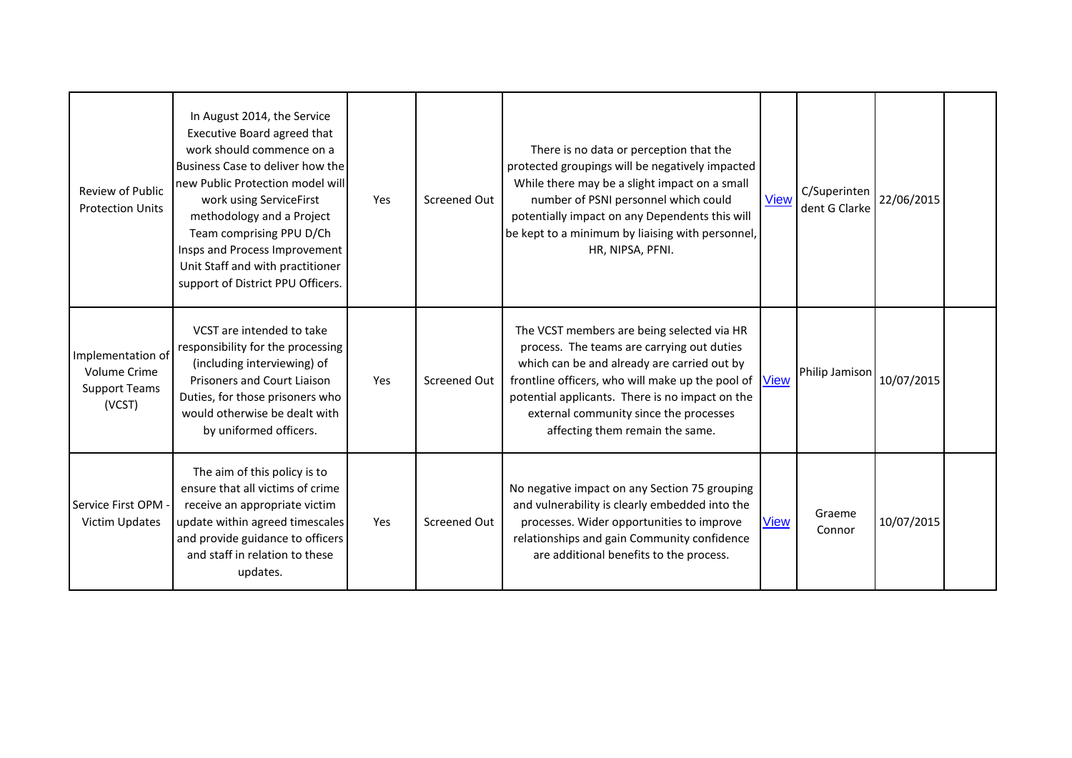| <b>Review of Public</b><br><b>Protection Units</b>                         | In August 2014, the Service<br>Executive Board agreed that<br>work should commence on a<br>Business Case to deliver how the<br>new Public Protection model will<br>work using ServiceFirst<br>methodology and a Project<br>Team comprising PPU D/Ch<br>Insps and Process Improvement<br>Unit Staff and with practitioner<br>support of District PPU Officers. | Yes | Screened Out | There is no data or perception that the<br>protected groupings will be negatively impacted<br>While there may be a slight impact on a small<br>number of PSNI personnel which could<br>potentially impact on any Dependents this will<br>be kept to a minimum by liaising with personnel,<br>HR, NIPSA, PFNI.               | <b>View</b> | C/Superinten<br>dent G Clarke | 22/06/2015 |
|----------------------------------------------------------------------------|---------------------------------------------------------------------------------------------------------------------------------------------------------------------------------------------------------------------------------------------------------------------------------------------------------------------------------------------------------------|-----|--------------|-----------------------------------------------------------------------------------------------------------------------------------------------------------------------------------------------------------------------------------------------------------------------------------------------------------------------------|-------------|-------------------------------|------------|
| Implementation of<br><b>Volume Crime</b><br><b>Support Teams</b><br>(VCST) | VCST are intended to take<br>responsibility for the processing<br>(including interviewing) of<br>Prisoners and Court Liaison<br>Duties, for those prisoners who<br>would otherwise be dealt with<br>by uniformed officers.                                                                                                                                    | Yes | Screened Out | The VCST members are being selected via HR<br>process. The teams are carrying out duties<br>which can be and already are carried out by<br>frontline officers, who will make up the pool of<br>potential applicants. There is no impact on the<br>external community since the processes<br>affecting them remain the same. | <b>View</b> | Philip Jamison                | 10/07/2015 |
| Service First OPM<br>Victim Updates                                        | The aim of this policy is to<br>ensure that all victims of crime<br>receive an appropriate victim<br>update within agreed timescales<br>and provide guidance to officers<br>and staff in relation to these<br>updates.                                                                                                                                        | Yes | Screened Out | No negative impact on any Section 75 grouping<br>and vulnerability is clearly embedded into the<br>processes. Wider opportunities to improve<br>relationships and gain Community confidence<br>are additional benefits to the process.                                                                                      | <b>View</b> | Graeme<br>Connor              | 10/07/2015 |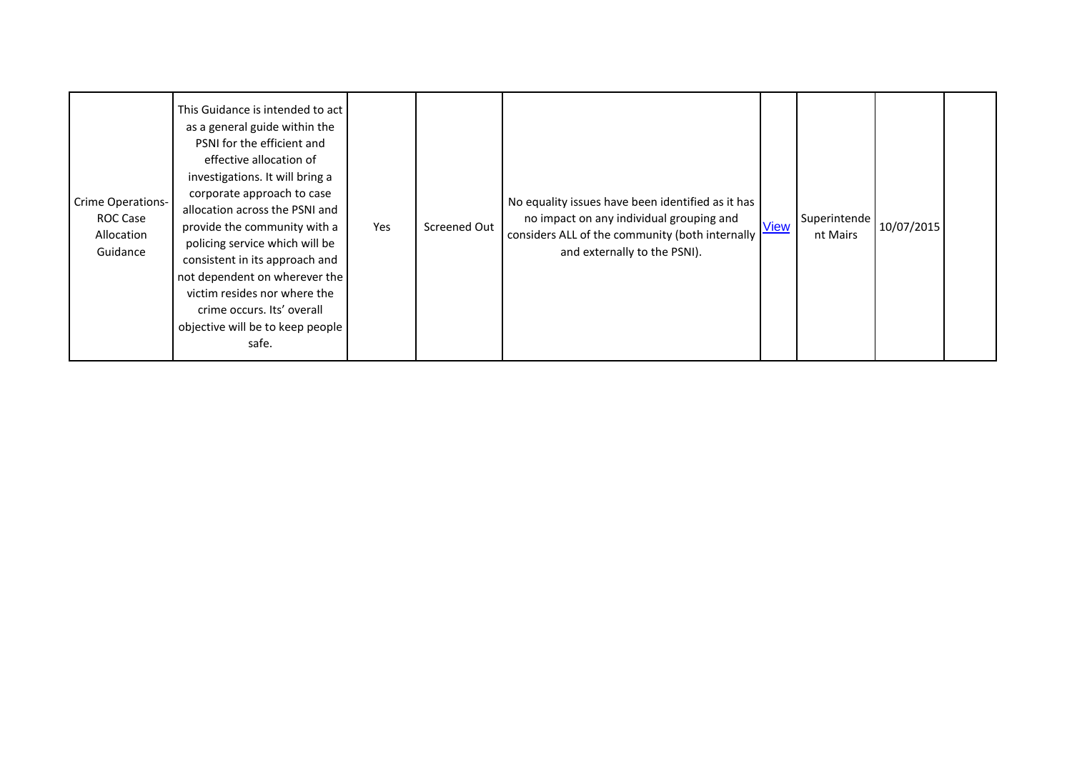| This Guidance is intended to act<br>as a general guide within the<br>PSNI for the efficient and<br>effective allocation of<br>investigations. It will bring a<br>corporate approach to case<br><b>Crime Operations-</b><br>allocation across the PSNI and<br>ROC Case<br>provide the community with a<br>Allocation<br>policing service which will be<br>Guidance<br>consistent in its approach and<br>not dependent on wherever the<br>victim resides nor where the<br>crime occurs. Its' overall<br>objective will be to keep people<br>safe. | Yes | Screened Out | No equality issues have been identified as it has<br>no impact on any individual grouping and<br>considers ALL of the community (both internally<br>and externally to the PSNI). | <b>View</b> | Superintende<br>nt Mairs | 10/07/2015 |  |
|-------------------------------------------------------------------------------------------------------------------------------------------------------------------------------------------------------------------------------------------------------------------------------------------------------------------------------------------------------------------------------------------------------------------------------------------------------------------------------------------------------------------------------------------------|-----|--------------|----------------------------------------------------------------------------------------------------------------------------------------------------------------------------------|-------------|--------------------------|------------|--|
|-------------------------------------------------------------------------------------------------------------------------------------------------------------------------------------------------------------------------------------------------------------------------------------------------------------------------------------------------------------------------------------------------------------------------------------------------------------------------------------------------------------------------------------------------|-----|--------------|----------------------------------------------------------------------------------------------------------------------------------------------------------------------------------|-------------|--------------------------|------------|--|